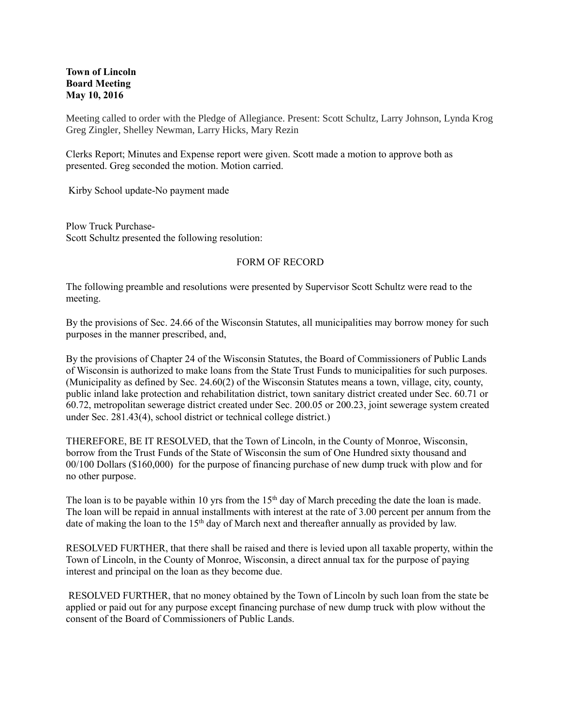## **Town of Lincoln Board Meeting May 10, 2016**

Meeting called to order with the Pledge of Allegiance. Present: Scott Schultz, Larry Johnson, Lynda Krog Greg Zingler, Shelley Newman, Larry Hicks, Mary Rezin

Clerks Report; Minutes and Expense report were given. Scott made a motion to approve both as presented. Greg seconded the motion. Motion carried.

Kirby School update-No payment made

Plow Truck Purchase-Scott Schultz presented the following resolution:

## FORM OF RECORD

The following preamble and resolutions were presented by Supervisor Scott Schultz were read to the meeting.

By the provisions of Sec. 24.66 of the Wisconsin Statutes, all municipalities may borrow money for such purposes in the manner prescribed, and,

By the provisions of Chapter 24 of the Wisconsin Statutes, the Board of Commissioners of Public Lands of Wisconsin is authorized to make loans from the State Trust Funds to municipalities for such purposes. (Municipality as defined by Sec. 24.60(2) of the Wisconsin Statutes means a town, village, city, county, public inland lake protection and rehabilitation district, town sanitary district created under Sec. 60.71 or 60.72, metropolitan sewerage district created under Sec. 200.05 or 200.23, joint sewerage system created under Sec. 281.43(4), school district or technical college district.)

THEREFORE, BE IT RESOLVED, that the Town of Lincoln, in the County of Monroe, Wisconsin, borrow from the Trust Funds of the State of Wisconsin the sum of One Hundred sixty thousand and 00/100 Dollars (\$160,000) for the purpose of financing purchase of new dump truck with plow and for no other purpose.

The loan is to be payable within 10 yrs from the  $15<sup>th</sup>$  day of March preceding the date the loan is made. The loan will be repaid in annual installments with interest at the rate of 3.00 percent per annum from the date of making the loan to the 15<sup>th</sup> day of March next and thereafter annually as provided by law.

RESOLVED FURTHER, that there shall be raised and there is levied upon all taxable property, within the Town of Lincoln, in the County of Monroe, Wisconsin, a direct annual tax for the purpose of paying interest and principal on the loan as they become due.

RESOLVED FURTHER, that no money obtained by the Town of Lincoln by such loan from the state be applied or paid out for any purpose except financing purchase of new dump truck with plow without the consent of the Board of Commissioners of Public Lands.